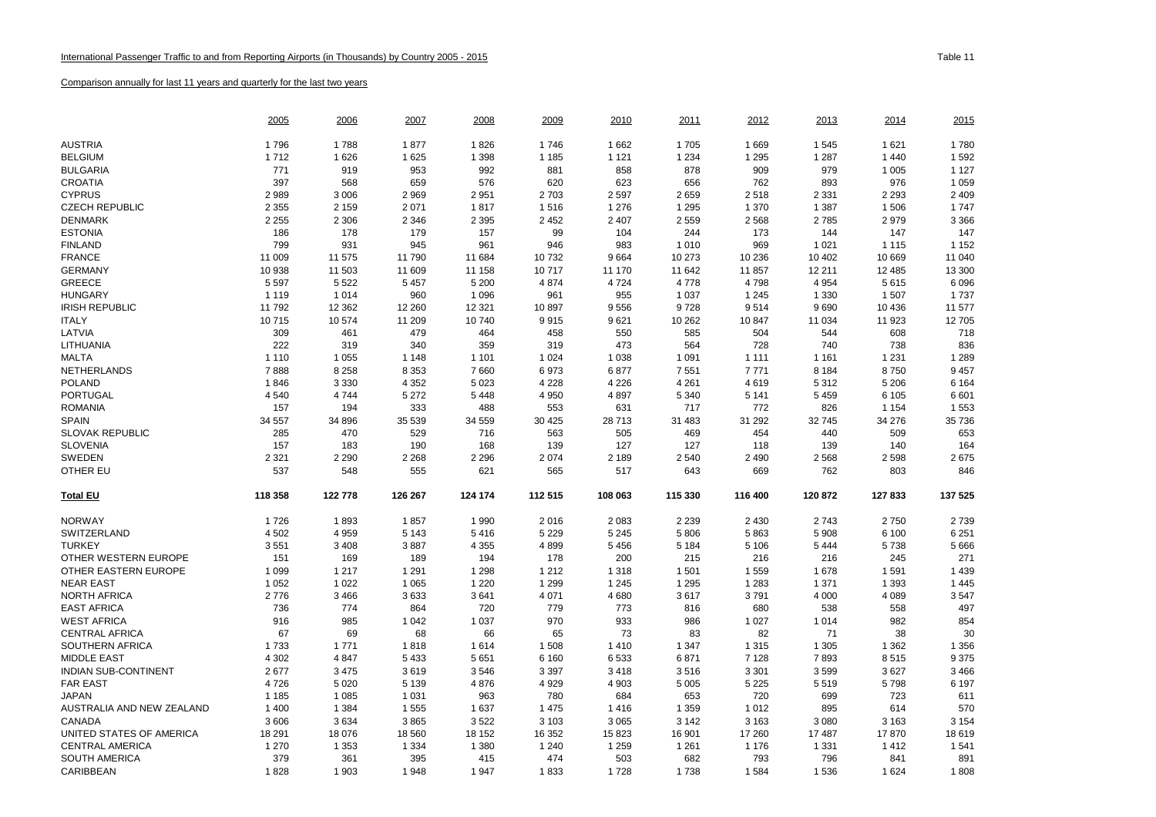|                             | <u> 2005</u> | 2006    | 2007    | 2008    | <u> 2009</u> | 2010    | <u> 2011</u> | 2012    | 2013    | 2014    | 2015    |
|-----------------------------|--------------|---------|---------|---------|--------------|---------|--------------|---------|---------|---------|---------|
| <b>AUSTRIA</b>              | 1796         | 1788    | 1877    | 1826    | 1746         | 1662    | 1705         | 1669    | 1545    | 1621    | 1780    |
| <b>BELGIUM</b>              | 1712         | 1626    | 1625    | 1 3 9 8 | 1 1 8 5      | 1 1 2 1 | 1 2 3 4      | 1 2 9 5 | 1 2 8 7 | 1 4 4 0 | 1 5 9 2 |
| <b>BULGARIA</b>             | 771          | 919     | 953     | 992     | 881          | 858     | 878          | 909     | 979     | 1 0 0 5 | 1 1 2 7 |
| <b>CROATIA</b>              | 397          | 568     | 659     | 576     | 620          | 623     | 656          | 762     | 893     | 976     | 1 0 5 9 |
| <b>CYPRUS</b>               | 2989         | 3 0 0 6 | 2 9 6 9 | 2951    | 2 7 0 3      | 2 5 9 7 | 2659         | 2518    | 2 3 3 1 | 2 2 9 3 | 2 4 0 9 |
| <b>CZECH REPUBLIC</b>       | 2 3 5 5      | 2 1 5 9 | 2 0 7 1 | 1817    | 1516         | 1 2 7 6 | 1 2 9 5      | 1 370   | 1 3 8 7 | 1 506   | 1747    |
| <b>DENMARK</b>              | 2 2 5 5      | 2 3 0 6 | 2 3 4 6 | 2 3 9 5 | 2 4 5 2      | 2 4 0 7 | 2559         | 2568    | 2785    | 2979    | 3 3 6 6 |
| <b>ESTONIA</b>              | 186          | 178     | 179     | 157     | 99           | 104     | 244          | 173     | 144     | 147     | 147     |
| <b>FINLAND</b>              | 799          | 931     | 945     | 961     | 946          | 983     | 1010         | 969     | 1 0 2 1 | 1 1 1 5 | 1 1 5 2 |
| <b>FRANCE</b>               | 11 009       | 11 575  | 11 790  | 11 684  | 10732        | 9664    | 10 273       | 10 236  | 10 402  | 10 669  | 11 040  |
| <b>GERMANY</b>              | 10 938       | 11 503  | 11 609  | 11 158  | 10717        | 11 170  | 11 642       | 11 857  | 12 211  | 12 485  | 13 300  |
| <b>GREECE</b>               | 5 5 9 7      | 5 5 2 2 | 5 4 5 7 | 5 2 0 0 | 4 8 7 4      | 4 7 2 4 | 4778         | 4798    | 4 9 5 4 | 5615    | 6096    |
| <b>HUNGARY</b>              | 1 1 1 9      | 1014    | 960     | 1 0 9 6 | 961          | 955     | 1 0 3 7      | 1 2 4 5 | 1 3 3 0 | 1 507   | 1737    |
| <b>IRISH REPUBLIC</b>       | 11 792       | 12 3 62 | 12 260  | 12 3 21 | 10897        | 9556    | 9728         | 9514    | 9690    | 10 4 36 | 11 577  |
| <b>ITALY</b>                | 10715        | 10 574  | 11 209  | 10 740  | 9915         | 9621    | 10 262       | 10 847  | 11 0 34 | 11 923  | 12705   |
| LATVIA                      | 309          | 461     | 479     | 464     | 458          | 550     | 585          | 504     | 544     | 608     | 718     |
| LITHUANIA                   | 222          | 319     | 340     | 359     | 319          | 473     | 564          | 728     | 740     | 738     | 836     |
| <b>MALTA</b>                | 1 1 1 0      | 1 0 5 5 | 1 1 4 8 | 1 1 0 1 | 1 0 2 4      | 1 0 38  | 1 0 9 1      | 1 1 1 1 | 1 1 6 1 | 1 2 3 1 | 1 2 8 9 |
| NETHERLANDS                 | 7888         | 8 2 5 8 | 8 3 5 3 | 7660    | 6973         | 6877    | 7551         | 7771    | 8 1 8 4 | 8750    | 9 4 5 7 |
| <b>POLAND</b>               | 1846         | 3 3 3 0 | 4 3 5 2 | 5 0 23  | 4 2 2 8      | 4 2 2 6 | 4 2 6 1      | 4619    | 5 3 1 2 | 5 2 0 6 | 6 1 6 4 |
| <b>PORTUGAL</b>             | 4 5 4 0      | 4744    | 5 2 7 2 | 5448    | 4 9 5 0      | 4897    | 5 3 4 0      | 5 1 4 1 | 5 4 5 9 | 6 1 0 5 | 6601    |
| <b>ROMANIA</b>              | 157          | 194     | 333     | 488     | 553          | 631     | 717          | 772     | 826     | 1 1 5 4 | 1 5 5 3 |
| <b>SPAIN</b>                | 34 557       | 34 896  | 35 539  | 34 559  | 30 4 25      | 28 713  | 31 483       | 31 29 2 | 32745   | 34 276  | 35 736  |
| <b>SLOVAK REPUBLIC</b>      | 285          | 470     | 529     | 716     | 563          | 505     | 469          | 454     | 440     | 509     | 653     |
| <b>SLOVENIA</b>             | 157          | 183     | 190     | 168     | 139          | 127     | 127          | 118     | 139     | 140     | 164     |
| SWEDEN                      | 2 3 2 1      | 2 2 9 0 | 2 2 6 8 | 2 2 9 6 | 2 0 7 4      | 2 189   | 2 5 4 0      | 2 4 9 0 | 2568    | 2598    | 2675    |
| <b>OTHER EU</b>             | 537          | 548     | 555     | 621     | 565          | 517     | 643          | 669     | 762     | 803     | 846     |
| <b>Total EU</b>             | 118 358      | 122 778 | 126 267 | 124 174 | 112 515      | 108 063 | 115 330      | 116 400 | 120 872 | 127833  | 137 525 |
| <b>NORWAY</b>               | 1726         | 1893    | 1857    | 1990    | 2016         | 2 0 8 3 | 2 2 3 9      | 2 4 3 0 | 2743    | 2750    | 2739    |
| SWITZERLAND                 | 4 5 0 2      | 4 9 5 9 | 5 1 4 3 | 5416    | 5 2 2 9      | 5 2 4 5 | 5806         | 5863    | 5 9 0 8 | 6 100   | 6 2 5 1 |
| <b>TURKEY</b>               | 3551         | 3 4 0 8 | 3887    | 4 3 5 5 | 4899         | 5 4 5 6 | 5 1 8 4      | 5 1 0 6 | 5444    | 5738    | 5 6 6 6 |
| OTHER WESTERN EUROPE        | 151          | 169     | 189     | 194     | 178          | 200     | 215          | 216     | 216     | 245     | 271     |
| OTHER EASTERN EUROPE        | 1 0 9 9      | 1 2 1 7 | 1 2 9 1 | 1 2 9 8 | 1 2 1 2      | 1 3 1 8 | 1 501        | 1559    | 1678    | 1 5 9 1 | 1 4 3 9 |
| <b>NEAR EAST</b>            | 1 0 5 2      | 1 0 2 2 | 1 0 6 5 | 1 2 2 0 | 1 2 9 9      | 1 2 4 5 | 1 2 9 5      | 1 2 8 3 | 1 3 7 1 | 1 3 9 3 | 1 4 4 5 |
| <b>NORTH AFRICA</b>         | 2776         | 3 4 6 6 | 3633    | 3641    | 4 0 7 1      | 4680    | 3617         | 3791    | 4 0 0 0 | 4 0 8 9 | 3547    |
| <b>EAST AFRICA</b>          | 736          | 774     | 864     | 720     | 779          | 773     | 816          | 680     | 538     | 558     | 497     |
| <b>WEST AFRICA</b>          | 916          | 985     | 1 0 4 2 | 1 0 3 7 | 970          | 933     | 986          | 1 0 2 7 | 1014    | 982     | 854     |
| <b>CENTRAL AFRICA</b>       | 67           | 69      | 68      | 66      | 65           | 73      | 83           | 82      | 71      | 38      | 30      |
| SOUTHERN AFRICA             | 1733         | 1 7 7 1 | 1818    | 1614    | 1 508        | 1410    | 1 3 4 7      | 1 3 1 5 | 1 3 0 5 | 1 3 6 2 | 1 3 5 6 |
| <b>MIDDLE EAST</b>          | 4 3 0 2      | 4847    | 5 4 3 3 | 5651    | 6 1 6 0      | 6 5 3 3 | 6871         | 7 1 2 8 | 7893    | 8515    | 9 3 7 5 |
| <b>INDIAN SUB-CONTINENT</b> | 2677         | 3 4 7 5 | 3619    | 3546    | 3 3 9 7      | 3418    | 3516         | 3 3 0 1 | 3599    | 3627    | 3 4 6 6 |
| <b>FAR EAST</b>             | 4726         | 5 0 2 0 | 5 1 3 9 | 4876    | 4 9 2 9      | 4 9 0 3 | 5 0 0 5      | 5 2 2 5 | 5519    | 5798    | 6 1 9 7 |
| JAPAN                       | 1 1 8 5      | 1 0 8 5 | 1 0 3 1 | 963     | 780          | 684     | 653          | 720     | 699     | 723     | 611     |
| AUSTRALIA AND NEW ZEALAND   | 1 400        | 1 3 8 4 | 1 5 5 5 | 1637    | 1 4 7 5      | 1416    | 1 3 5 9      | 1 0 1 2 | 895     | 614     | 570     |
| CANADA                      | 3606         | 3634    | 3865    | 3522    | 3 1 0 3      | 3 0 6 5 | 3 1 4 2      | 3 1 6 3 | 3 0 8 0 | 3 1 6 3 | 3 1 5 4 |
| UNITED STATES OF AMERICA    | 18 291       | 18 076  | 18 5 60 | 18 152  | 16 352       | 15 823  | 16 901       | 17 260  | 17 487  | 17870   | 18619   |
| <b>CENTRAL AMERICA</b>      | 1 2 7 0      | 1 3 5 3 | 1 3 3 4 | 1 3 8 0 | 1 2 4 0      | 1 2 5 9 | 1 2 6 1      | 1 1 7 6 | 1 3 3 1 | 1412    | 1 5 4 1 |
| <b>SOUTH AMERICA</b>        | 379          | 361     | 395     | 415     | 474          | 503     | 682          | 793     | 796     | 841     | 891     |
| CARIBBEAN                   | 1828         | 1 903   | 1948    | 1947    | 1833         | 1728    | 1738         | 1 5 8 4 | 1536    | 1 6 2 4 | 1808    |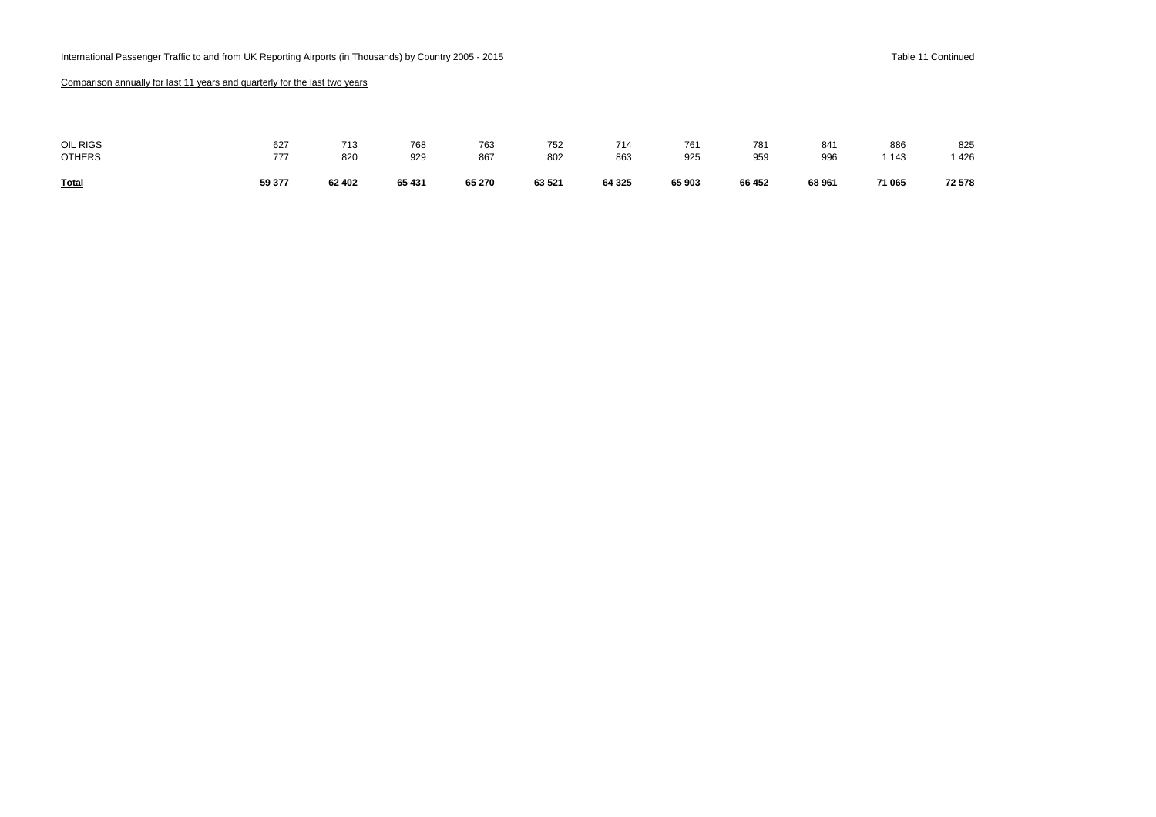| <b>Total</b>  | 59 377 | 62 402 | 65 431 | 65 270 | 63 521 | 64 325 | 65 903 | 66 452 | 68 961 | 71 065 | 72 578 |
|---------------|--------|--------|--------|--------|--------|--------|--------|--------|--------|--------|--------|
| <b>OTHERS</b> | 777    | 820    | 929    | 867    | 802    | 863    | 925    | 959    | 996    | 1 143  | 1426   |
| OIL RIGS      | 627    | 713    | 768    | 763    | 752    | 714    | 761    | 781    | 841    | 886    | 825    |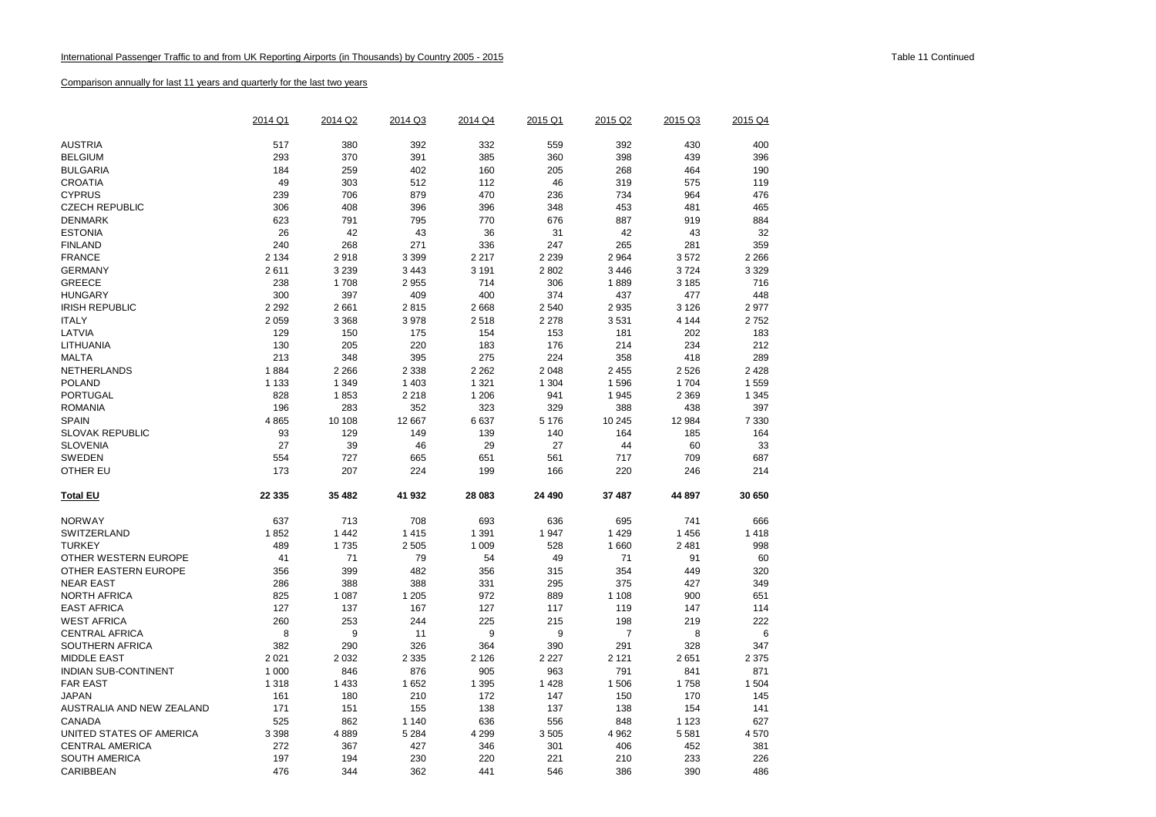|                             | 2014 Q1 | 2014 Q2 | 2014 Q3 | 2014 Q4 | 2015 Q1 | 2015 Q2 | 2015 Q3 | 2015 Q4 |
|-----------------------------|---------|---------|---------|---------|---------|---------|---------|---------|
| <b>AUSTRIA</b>              | 517     | 380     | 392     | 332     | 559     | 392     | 430     | 400     |
|                             |         |         |         |         |         |         |         |         |
| <b>BELGIUM</b>              | 293     | 370     | 391     | 385     | 360     | 398     | 439     | 396     |
| <b>BULGARIA</b>             | 184     | 259     | 402     | 160     | 205     | 268     | 464     | 190     |
| <b>CROATIA</b>              | 49      | 303     | 512     | 112     | 46      | 319     | 575     | 119     |
| <b>CYPRUS</b>               | 239     | 706     | 879     | 470     | 236     | 734     | 964     | 476     |
| <b>CZECH REPUBLIC</b>       | 306     | 408     | 396     | 396     | 348     | 453     | 481     | 465     |
| <b>DENMARK</b>              | 623     | 791     | 795     | 770     | 676     | 887     | 919     | 884     |
| <b>ESTONIA</b>              | 26      | 42      | 43      | 36      | 31      | 42      | 43      | 32      |
| <b>FINLAND</b>              | 240     | 268     | 271     | 336     | 247     | 265     | 281     | 359     |
| <b>FRANCE</b>               | 2 1 3 4 | 2918    | 3 3 9 9 | 2 2 1 7 | 2 2 3 9 | 2 9 64  | 3572    | 2 2 6 6 |
| <b>GERMANY</b>              | 2611    | 3 2 3 9 | 3 4 4 3 | 3 1 9 1 | 2802    | 3 4 4 6 | 3724    | 3 3 2 9 |
| <b>GREECE</b>               | 238     | 1708    | 2955    | 714     | 306     | 1889    | 3 1 8 5 | 716     |
| <b>HUNGARY</b>              | 300     | 397     | 409     | 400     | 374     | 437     | 477     | 448     |
| <b>IRISH REPUBLIC</b>       | 2 2 9 2 | 2661    | 2815    | 2668    | 2 5 4 0 | 2 9 3 5 | 3 1 2 6 | 2977    |
| <b>ITALY</b>                | 2 0 5 9 | 3 3 6 8 | 3978    | 2518    | 2 2 7 8 | 3531    | 4 1 4 4 | 2752    |
| LATVIA                      | 129     | 150     | 175     | 154     | 153     | 181     | 202     | 183     |
| LITHUANIA                   | 130     | 205     | 220     | 183     | 176     | 214     | 234     | 212     |
| <b>MALTA</b>                | 213     | 348     | 395     | 275     | 224     | 358     | 418     | 289     |
| NETHERLANDS                 | 1884    | 2 2 6 6 | 2 3 3 8 | 2 2 6 2 | 2048    | 2 4 5 5 | 2526    | 2 4 2 8 |
| <b>POLAND</b>               | 1 1 3 3 | 1 3 4 9 | 1 4 0 3 | 1 3 2 1 | 1 3 0 4 | 1 5 9 6 | 1 7 0 4 | 1559    |
| PORTUGAL                    | 828     | 1853    | 2 2 1 8 | 1 2 0 6 | 941     | 1 9 4 5 | 2 3 6 9 | 1 3 4 5 |
| <b>ROMANIA</b>              | 196     | 283     | 352     | 323     | 329     | 388     | 438     | 397     |
| <b>SPAIN</b>                | 4865    | 10 108  | 12 667  | 6637    | 5 1 7 6 | 10 245  | 12 984  | 7 3 3 0 |
| <b>SLOVAK REPUBLIC</b>      | 93      | 129     | 149     | 139     | 140     | 164     | 185     | 164     |
| <b>SLOVENIA</b>             | 27      | 39      | 46      | 29      | 27      | 44      | 60      | 33      |
| <b>SWEDEN</b>               | 554     | 727     | 665     | 651     | 561     | 717     | 709     | 687     |
| <b>OTHER EU</b>             | 173     | 207     | 224     | 199     | 166     | 220     | 246     | 214     |
| <b>Total EU</b>             | 22 3 35 | 35 482  | 41 932  | 28 083  | 24 490  | 37 487  | 44 897  | 30 650  |
| <b>NORWAY</b>               | 637     | 713     | 708     | 693     | 636     | 695     | 741     | 666     |
| <b>SWITZERLAND</b>          | 1852    | 1 4 4 2 | 1415    | 1 3 9 1 | 1947    | 1 4 2 9 | 1 4 5 6 | 1418    |
| <b>TURKEY</b>               | 489     | 1735    | 2 5 0 5 | 1 0 0 9 | 528     | 1 660   | 2 4 8 1 | 998     |
| OTHER WESTERN EUROPE        | 41      | 71      | 79      | 54      | 49      | 71      | 91      | 60      |
| OTHER EASTERN EUROPE        | 356     | 399     | 482     | 356     | 315     | 354     | 449     | 320     |
| <b>NEAR EAST</b>            | 286     | 388     | 388     | 331     | 295     | 375     | 427     | 349     |
| <b>NORTH AFRICA</b>         | 825     | 1 0 8 7 | 1 2 0 5 | 972     | 889     | 1 1 0 8 | 900     | 651     |
| <b>EAST AFRICA</b>          | 127     | 137     | 167     | 127     | 117     | 119     | 147     | 114     |
| <b>WEST AFRICA</b>          | 260     | 253     | 244     | 225     | 215     | 198     | 219     | 222     |
| <b>CENTRAL AFRICA</b>       | 8       | 9       | 11      | 9       | 9       | 7       | 8       | 6       |
| SOUTHERN AFRICA             | 382     | 290     | 326     | 364     | 390     | 291     | 328     | 347     |
| <b>MIDDLE EAST</b>          | 2 0 2 1 | 2 0 3 2 | 2 3 3 5 | 2 1 2 6 | 2 2 2 7 | 2 1 2 1 | 2651    | 2 3 7 5 |
| <b>INDIAN SUB-CONTINENT</b> | 1 0 0 0 | 846     | 876     | 905     | 963     | 791     | 841     | 871     |
| <b>FAR EAST</b>             | 1 3 1 8 | 1 4 3 3 | 1652    | 1 3 9 5 | 1428    | 1 506   | 1758    | 1 504   |
| <b>JAPAN</b>                | 161     | 180     | 210     | 172     | 147     | 150     | 170     | 145     |
| AUSTRALIA AND NEW ZEALAND   | 171     | 151     | 155     | 138     | 137     | 138     | 154     | 141     |
| CANADA                      | 525     | 862     | 1 1 4 0 | 636     | 556     | 848     | 1 1 2 3 | 627     |
| UNITED STATES OF AMERICA    | 3 3 9 8 | 4889    | 5 2 8 4 | 4 2 9 9 | 3505    | 4 9 6 2 | 5581    | 4570    |
| <b>CENTRAL AMERICA</b>      | 272     | 367     | 427     | 346     | 301     | 406     | 452     | 381     |
| <b>SOUTH AMERICA</b>        | 197     | 194     | 230     | 220     | 221     | 210     | 233     | 226     |
| CARIBBEAN                   | 476     | 344     | 362     | 441     | 546     | 386     | 390     | 486     |